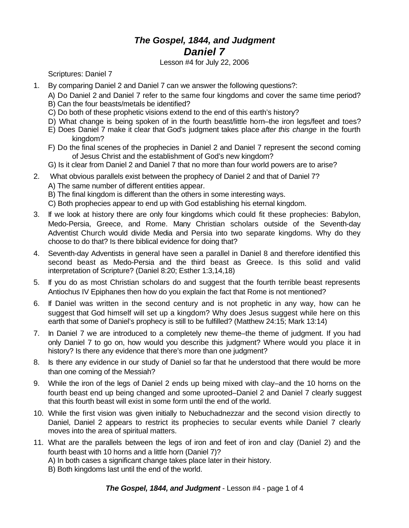## *The Gospel, 1844, and Judgment Daniel 7*

Lesson #4 for July 22, 2006

Scriptures: Daniel 7

- 1. By comparing Daniel 2 and Daniel 7 can we answer the following questions?:
	- A) Do Daniel 2 and Daniel 7 refer to the same four kingdoms and cover the same time period?
	- B) Can the four beasts/metals be identified?
	- C) Do both of these prophetic visions extend to the end of this earth's history?
	- D) What change is being spoken of in the fourth beast/little horn–the iron legs/feet and toes?
	- E) Does Daniel 7 make it clear that God's judgment takes place *after this change* in the fourth kingdom?
	- F) Do the final scenes of the prophecies in Daniel 2 and Daniel 7 represent the second coming of Jesus Christ and the establishment of God's new kingdom?
	- G) Is it clear from Daniel 2 and Daniel 7 that no more than four world powers are to arise?
- 2. What obvious parallels exist between the prophecy of Daniel 2 and that of Daniel 7?
	- A) The same number of different entities appear.
	- B) The final kingdom is different than the others in some interesting ways.
	- C) Both prophecies appear to end up with God establishing his eternal kingdom.
- 3. If we look at history there are only four kingdoms which could fit these prophecies: Babylon, Medo-Persia, Greece, and Rome. Many Christian scholars outside of the Seventh-day Adventist Church would divide Media and Persia into two separate kingdoms. Why do they choose to do that? Is there biblical evidence for doing that?
- 4. Seventh-day Adventists in general have seen a parallel in Daniel 8 and therefore identified this second beast as Medo-Persia and the third beast as Greece. Is this solid and valid interpretation of Scripture? (Daniel 8:20; Esther 1:3,14,18)
- 5. If you do as most Christian scholars do and suggest that the fourth terrible beast represents Antiochus IV Epiphanes then how do you explain the fact that Rome is not mentioned?
- 6. If Daniel was written in the second century and is not prophetic in any way, how can he suggest that God himself will set up a kingdom? Why does Jesus suggest while here on this earth that some of Daniel's prophecy is still to be fulfilled? (Matthew 24:15; Mark 13:14)
- 7. In Daniel 7 we are introduced to a completely new theme–the theme of judgment. If you had only Daniel 7 to go on, how would you describe this judgment? Where would you place it in history? Is there any evidence that there's more than one judgment?
- 8. Is there any evidence in our study of Daniel so far that he understood that there would be more than one coming of the Messiah?
- 9. While the iron of the legs of Daniel 2 ends up being mixed with clay–and the 10 horns on the fourth beast end up being changed and some uprooted–Daniel 2 and Daniel 7 clearly suggest that this fourth beast will exist in some form until the end of the world.
- 10. While the first vision was given initially to Nebuchadnezzar and the second vision directly to Daniel, Daniel 2 appears to restrict its prophecies to secular events while Daniel 7 clearly moves into the area of spiritual matters.
- 11. What are the parallels between the legs of iron and feet of iron and clay (Daniel 2) and the fourth beast with 10 horns and a little horn (Daniel 7)?
	- A) In both cases a significant change takes place later in their history.
	- B) Both kingdoms last until the end of the world.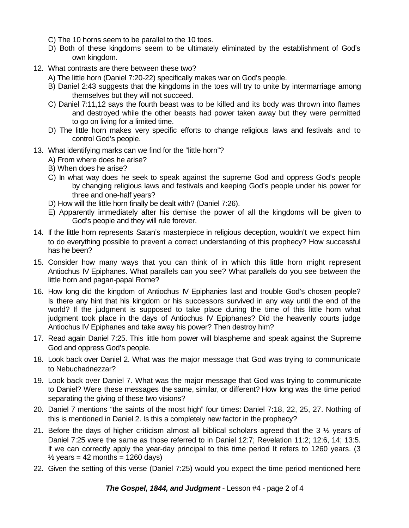- C) The 10 horns seem to be parallel to the 10 toes.
- D) Both of these kingdoms seem to be ultimately eliminated by the establishment of God's own kingdom.
- 12. What contrasts are there between these two?
	- A) The little horn (Daniel 7:20-22) specifically makes war on God's people.
	- B) Daniel 2:43 suggests that the kingdoms in the toes will try to unite by intermarriage among themselves but they will not succeed.
	- C) Daniel 7:11,12 says the fourth beast was to be killed and its body was thrown into flames and destroyed while the other beasts had power taken away but they were permitted to go on living for a limited time.
	- D) The little horn makes very specific efforts to change religious laws and festivals and to control God's people.
- 13. What identifying marks can we find for the "little horn"?
	- A) From where does he arise?
	- B) When does he arise?
	- C) In what way does he seek to speak against the supreme God and oppress God's people by changing religious laws and festivals and keeping God's people under his power for three and one-half years?
	- D) How will the little horn finally be dealt with? (Daniel 7:26).
	- E) Apparently immediately after his demise the power of all the kingdoms will be given to God's people and they will rule forever.
- 14. If the little horn represents Satan's masterpiece in religious deception, wouldn't we expect him to do everything possible to prevent a correct understanding of this prophecy? How successful has he been?
- 15. Consider how many ways that you can think of in which this little horn might represent Antiochus IV Epiphanes. What parallels can you see? What parallels do you see between the little horn and pagan-papal Rome?
- 16. How long did the kingdom of Antiochus IV Epiphanies last and trouble God's chosen people? Is there any hint that his kingdom or his successors survived in any way until the end of the world? If the judgment is supposed to take place during the time of this little horn what judgment took place in the days of Antiochus IV Epiphanes? Did the heavenly courts judge Antiochus IV Epiphanes and take away his power? Then destroy him?
- 17. Read again Daniel 7:25. This little horn power will blaspheme and speak against the Supreme God and oppress God's people.
- 18. Look back over Daniel 2. What was the major message that God was trying to communicate to Nebuchadnezzar?
- 19. Look back over Daniel 7. What was the major message that God was trying to communicate to Daniel? Were these messages the same, similar, or different? How long was the time period separating the giving of these two visions?
- 20. Daniel 7 mentions "the saints of the most high" four times: Daniel 7:18, 22, 25, 27. Nothing of this is mentioned in Daniel 2. Is this a completely new factor in the prophecy?
- 21. Before the days of higher criticism almost all biblical scholars agreed that the 3 ½ years of Daniel 7:25 were the same as those referred to in Daniel 12:7; Revelation 11:2; 12:6, 14; 13:5. If we can correctly apply the year-day principal to this time period It refers to 1260 years. (3  $\frac{1}{2}$  years = 42 months = 1260 days)
- 22. Given the setting of this verse (Daniel 7:25) would you expect the time period mentioned here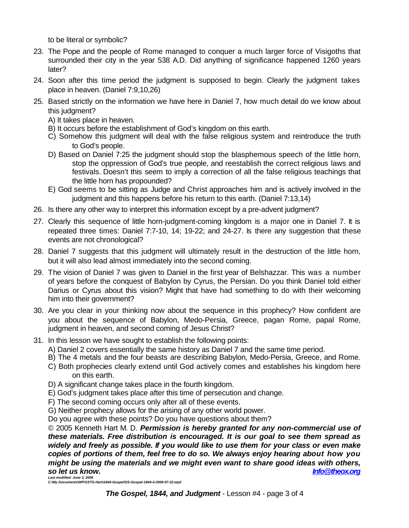to be literal or symbolic?

- 23. The Pope and the people of Rome managed to conquer a much larger force of Visigoths that surrounded their city in the year 538 A.D. Did anything of significance happened 1260 years later?
- 24. Soon after this time period the judgment is supposed to begin. Clearly the judgment takes place in heaven. (Daniel 7:9,10,26)
- 25. Based strictly on the information we have here in Daniel 7, how much detail do we know about this judgment?
	- A) It takes place in heaven.
	- B) It occurs before the establishment of God's kingdom on this earth.
	- C) Somehow this judgment will deal with the false religious system and reintroduce the truth to God's people.
	- D) Based on Daniel 7:25 the judgment should stop the blasphemous speech of the little horn, stop the oppression of God's true people, and reestablish the correct religious laws and festivals. Doesn't this seem to imply a correction of all the false religious teachings that the little horn has propounded?
	- E) God seems to be sitting as Judge and Christ approaches him and is actively involved in the judgment and this happens before his return to this earth. (Daniel 7:13,14)
- 26. Is there any other way to interpret this information except by a pre-advent judgment?
- 27. Clearly this sequence of little horn-judgment-coming kingdom is a major one in Daniel 7. It is repeated three times: Daniel 7:7-10, 14; 19-22; and 24-27. Is there any suggestion that these events are not chronological?
- 28. Daniel 7 suggests that this judgment will ultimately result in the destruction of the little horn, but it will also lead almost immediately into the second coming.
- 29. The vision of Daniel 7 was given to Daniel in the first year of Belshazzar. This was a number of years before the conquest of Babylon by Cyrus, the Persian. Do you think Daniel told either Darius or Cyrus about this vision? Might that have had something to do with their welcoming him into their government?
- 30. Are you clear in your thinking now about the sequence in this prophecy? How confident are you about the sequence of Babylon, Medo-Persia, Greece, pagan Rome, papal Rome, judgment in heaven, and second coming of Jesus Christ?
- 31. In this lesson we have sought to establish the following points:
	- A) Daniel 2 covers essentially the same history as Daniel 7 and the same time period.
	- B) The 4 metals and the four beasts are describing Babylon, Medo-Persia, Greece, and Rome.
	- C) Both prophecies clearly extend until God actively comes and establishes his kingdom here on this earth.
	- D) A significant change takes place in the fourth kingdom.
	- E) God's judgment takes place after this time of persecution and change.
	- F) The second coming occurs only after all of these events.
	- G) Neither prophecy allows for the arising of any other world power.

Do you agree with these points? Do you have questions about them?

© 2005 Kenneth Hart M. D. *Permission is hereby granted for any non-commercial use of these materials. Free distribution is encouraged. It is our goal to see them spread as widely and freely as possible. If you would like to use them for your class or even make copies of portions of them, feel free to do so. We always enjoy hearing about how you might be using the materials and we might even want to share good ideas with others, so let us know. Info@theox.org Last modified: June 3, 2006*

*C:\My Documents\WP\SSTG-Hart\1844-Gospel\SS-Gospel-1844-4-2006-07-22.wpd*